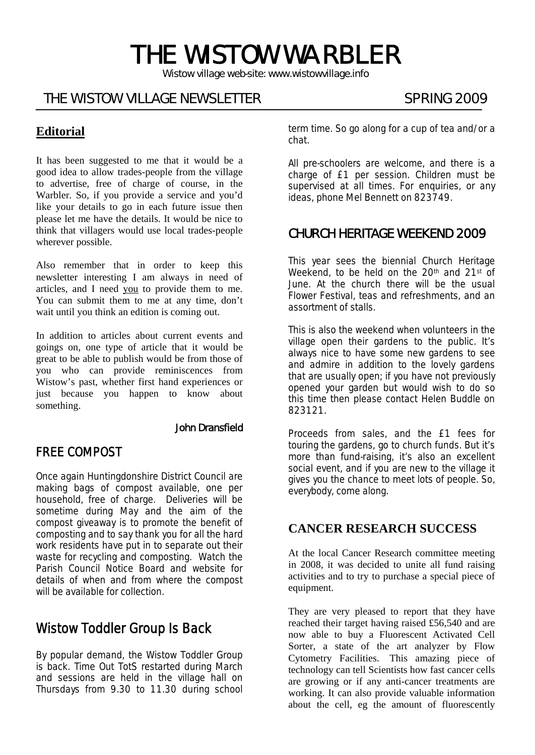# THE WISTOW WARBLER

*Wistow village web-site: www.wistowvillage.info* 

# THE WISTOW VILLAGE NEWSLETTER SPRING 2009

#### ٦ **Editorial**

It has been suggested to me that it would be a good idea to allow trades-people from the village to advertise, free of charge of course, in the Warbler. So, if you provide a service and you'd like your details to go in each future issue then please let me have the details. It would be nice to think that villagers would use local trades-people wherever possible.

Also remember that in order to keep this newsletter interesting I am always in need of articles, and I need you to provide them to me. You can submit them to me at any time, don't wait until you think an edition is coming out.

In addition to articles about current events and goings on, one type of article that it would be great to be able to publish would be from those of you who can provide reminiscences from Wistow's past, whether first hand experiences or just because you happen to know about something.

#### John Dransfield

# FREE COMPOST

Once again Huntingdonshire District Council are making bags of compost available, one per household, free of charge. Deliveries will be sometime during May and the aim of the compost giveaway is to promote the benefit of composting and to say thank you for all the hard work residents have put in to separate out their waste for recycling and composting. Watch the Parish Council Notice Board and website for details of when and from where the compost will be available for collection.

# Wistow Toddler Group Is Back

By popular demand, the Wistow Toddler Group is back. Time Out TotS restarted during March and sessions are held in the village hall on Thursdays from 9.30 to 11.30 during school term time. So go along for a cup of tea and/or a chat.

All pre-schoolers are welcome, and there is a charge of £1 per session. Children must be supervised at all times. For enquiries, or any ideas, phone Mel Bennett on 823749.

# CHURCH HERITAGE WEEKEND 2009

This year sees the biennial Church Heritage Weekend, to be held on the 20<sup>th</sup> and 21<sup>st</sup> of June. At the church there will be the usual Flower Festival, teas and refreshments, and an assortment of stalls.

This is also the weekend when volunteers in the village open their gardens to the public. It's always nice to have some new gardens to see and admire in addition to the lovely gardens that are usually open; if you have not previously opened your garden but would wish to do so this time then please contact Helen Buddle on 823121.

Proceeds from sales, and the £1 fees for touring the gardens, go to church funds. But it's more than fund-raising, it's also an excellent social event, and if you are new to the village it gives you the chance to meet lots of people. So, everybody, come along.

#### **CANCER RESEARCH SUCCESS**

At the local Cancer Research committee meeting in 2008, it was decided to unite all fund raising activities and to try to purchase a special piece of equipment.

They are very pleased to report that they have reached their target having raised £56,540 and are now able to buy a Fluorescent Activated Cell Sorter, a state of the art analyzer by Flow Cytometry Facilities. This amazing piece of technology can tell Scientists how fast cancer cells are growing or if any anti-cancer treatments are working. It can also provide valuable information about the cell, eg the amount of fluorescently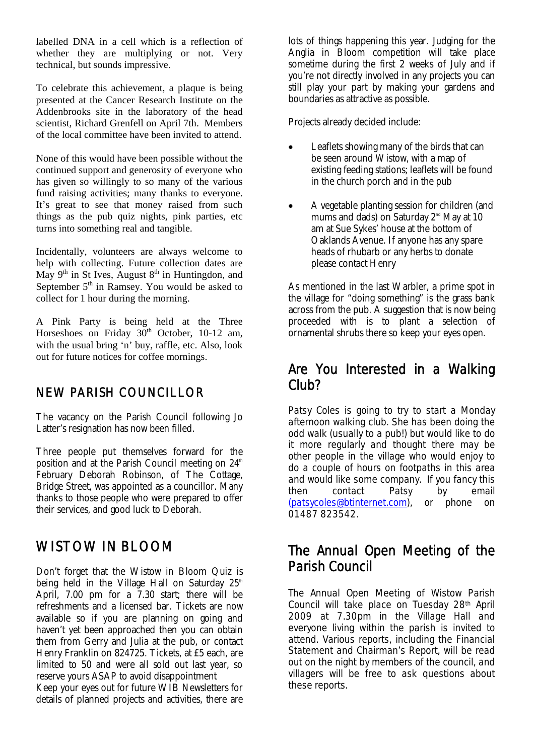labelled DNA in a cell which is a reflection of whether they are multiplying or not. Very technical, but sounds impressive.

To celebrate this achievement, a plaque is being presented at the Cancer Research Institute on the Addenbrooks site in the laboratory of the head scientist, Richard Grenfell on April 7th. Members of the local committee have been invited to attend.

None of this would have been possible without the continued support and generosity of everyone who has given so willingly to so many of the various fund raising activities; many thanks to everyone. It's great to see that money raised from such things as the pub quiz nights, pink parties, etc turns into something real and tangible.

Incidentally, volunteers are always welcome to help with collecting. Future collection dates are May  $9<sup>th</sup>$  in St Ives, August  $8<sup>th</sup>$  in Huntingdon, and September  $5<sup>th</sup>$  in Ramsey. You would be asked to collect for 1 hour during the morning.

A Pink Party is being held at the Three Horseshoes on Friday  $30<sup>th</sup>$  October, 10-12 am, with the usual bring 'n' buy, raffle, etc. Also, look out for future notices for coffee mornings.

## NEW PARISH COUNCILLOR

The vacancy on the Parish Council following Jo Latter's resignation has now been filled.

Three people put themselves forward for the position and at the Parish Council meeting on  $24<sup>th</sup>$ February Deborah Robinson, of The Cottage, Bridge Street, was appointed as a councillor. Many thanks to those people who were prepared to offer their services, and good luck to Deborah.

# WISTOW IN BLOOM

Don't forget that the Wistow in Bloom Quiz is being held in the Village Hall on Saturday  $25<sup>th</sup>$ April, 7.00 pm for a 7.30 start; there will be refreshments and a licensed bar. Tickets are now available so if you are planning on going and haven't yet been approached then you can obtain them from Gerry and Julia at the pub, or contact Henry Franklin on 824725. Tickets, at £5 each, are limited to 50 and were all sold out last year, so reserve yours ASAP to avoid disappointment

Keep your eyes out for future WIB Newsletters for details of planned projects and activities, there are

lots of things happening this year. Judging for the Anglia in Bloom competition will take place sometime during the first 2 weeks of July and if you're not directly involved in any projects you can still play your part by making your gardens and boundaries as attractive as possible.

Projects already decided include:

- Leaflets showing many of the birds that can be seen around Wistow, with a map of existing feeding stations; leaflets will be found in the church porch and in the pub
- A vegetable planting session for children (and mums and dads) on Saturday  $2<sup>nd</sup>$  May at 10 am at Sue Sykes' house at the bottom of Oaklands Avenue. If anyone has any spare heads of rhubarb or any herbs to donate please contact Henry

As mentioned in the last Warbler, a prime spot in the village for "doing something" is the grass bank across from the pub. A suggestion that is now being proceeded with is to plant a selection of ornamental shrubs there so keep your eyes open.

# Are You Interested in a Walking Club?

Patsy Coles is going to try to start a Monday afternoon walking club. She has been doing the odd walk (usually to a pub!) but would like to do it more regularly and thought there may be other people in the village who would enjoy to do a couple of hours on footpaths in this area and would like some company. If you fancy this<br>then contact Patsy by email then contact Patsy by email (patsycoles@btinternet.com), or phone on 01487 823542.

# The Annual Open Meeting of the Parish Council

The Annual Open Meeting of Wistow Parish Council will take place on Tuesday 28th April 2009 at 7.30pm in the Village Hall and everyone living within the parish is invited to attend. Various reports, including the Financial Statement and Chairman's Report, will be read out on the night by members of the council, and villagers will be free to ask questions about these reports.